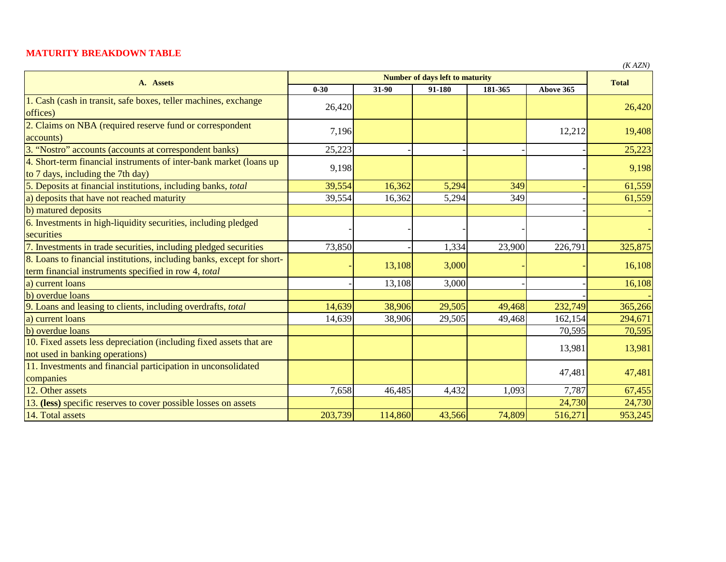## **MATURITY BREAKDOWN TABLE**

|                                                                                                                                |          |              |        |         |           | $\mathbf{A}$ |
|--------------------------------------------------------------------------------------------------------------------------------|----------|--------------|--------|---------|-----------|--------------|
| A. Assets                                                                                                                      |          | <b>Total</b> |        |         |           |              |
|                                                                                                                                | $0 - 30$ | 31-90        | 91-180 | 181-365 | Above 365 |              |
| 1. Cash (cash in transit, safe boxes, teller machines, exchange<br>offices)                                                    | 26,420   |              |        |         |           | 26,420       |
| 2. Claims on NBA (required reserve fund or correspondent<br>accounts)                                                          | 7,196    |              |        |         | 12,212    | 19,408       |
| 3. "Nostro" accounts (accounts at correspondent banks)                                                                         | 25,223   |              |        |         |           | 25,223       |
| 4. Short-term financial instruments of inter-bank market (loans up<br>to 7 days, including the 7th day)                        | 9,198    |              |        |         |           | 9,198        |
| 5. Deposits at financial institutions, including banks, total                                                                  | 39,554   | 16,362       | 5,294  | 349     |           | 61,559       |
| a) deposits that have not reached maturity                                                                                     | 39,554   | 16,362       | 5,294  | 349     |           | 61,559       |
| b) matured deposits                                                                                                            |          |              |        |         |           |              |
| 6. Investments in high-liquidity securities, including pledged<br>securities                                                   |          |              |        |         |           |              |
| 7. Investments in trade securities, including pledged securities                                                               | 73,850   |              | 1,334  | 23,900  | 226,791   | 325,875      |
| 8. Loans to financial institutions, including banks, except for short-<br>term financial instruments specified in row 4, total |          | 13,108       | 3,000  |         |           | 16,108       |
| a) current loans                                                                                                               |          | 13,108       | 3,000  |         |           | 16,108       |
| b) overdue loans                                                                                                               |          |              |        |         |           |              |
| 9. Loans and leasing to clients, including overdrafts, total                                                                   | 14,639   | 38,906       | 29,505 | 49,468  | 232,749   | 365,266      |
| a) current loans                                                                                                               | 14,639   | 38,906       | 29,505 | 49,468  | 162,154   | 294,671      |
| b) overdue loans                                                                                                               |          |              |        |         | 70,595    | 70,595       |
| 10. Fixed assets less depreciation (including fixed assets that are<br>not used in banking operations)                         |          |              |        |         | 13,981    | 13,981       |
| 11. Investments and financial participation in unconsolidated<br>companies                                                     |          |              |        |         | 47,481    | 47,481       |
| 12. Other assets                                                                                                               | 7,658    | 46,485       | 4,432  | 1,093   | 7,787     | 67,455       |
| 13. (less) specific reserves to cover possible losses on assets                                                                |          |              |        |         | 24,730    | 24,730       |
| 14. Total assets                                                                                                               | 203,739  | 114,860      | 43,566 | 74,809  | 516,271   | 953,245      |

*(K AZN)*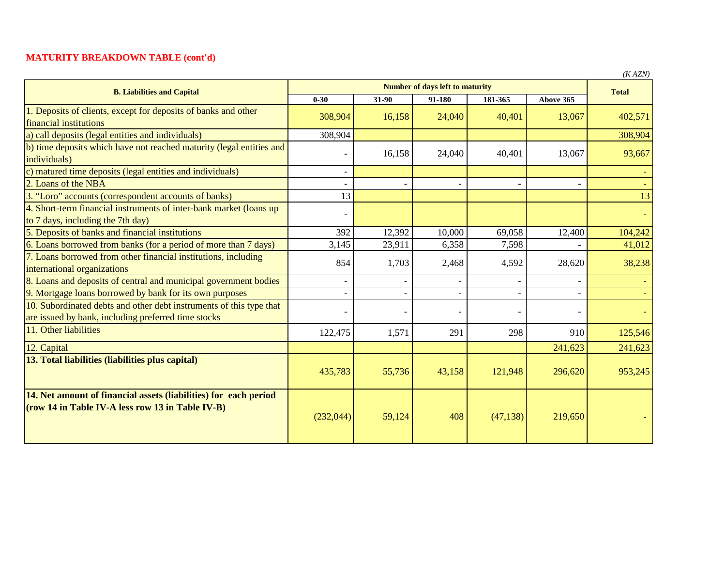## **MATURITY BREAKDOWN TABLE (cont'd)**

| <b>B. Liabilities and Capital</b>                                                                                          | <b>Number of days left to maturity</b> |        |        |           |           | (11.124)<br><b>Total</b> |
|----------------------------------------------------------------------------------------------------------------------------|----------------------------------------|--------|--------|-----------|-----------|--------------------------|
|                                                                                                                            | $0 - 30$                               | 31-90  | 91-180 | 181-365   | Above 365 |                          |
| 1. Deposits of clients, except for deposits of banks and other<br>financial institutions                                   | 308,904                                | 16,158 | 24,040 | 40,401    | 13,067    | 402,571                  |
| a) call deposits (legal entities and individuals)                                                                          | 308,904                                |        |        |           |           | 308,904                  |
| b) time deposits which have not reached maturity (legal entities and<br>individuals)                                       |                                        | 16,158 | 24,040 | 40,401    | 13,067    | 93,667                   |
| matured time deposits (legal entities and individuals)                                                                     |                                        |        |        |           |           |                          |
| 2. Loans of the NBA                                                                                                        |                                        |        |        |           |           |                          |
| 3. "Loro" accounts (correspondent accounts of banks)                                                                       | 13                                     |        |        |           |           | 13                       |
| 4. Short-term financial instruments of inter-bank market (loans up)<br>to 7 days, including the 7th day)                   |                                        |        |        |           |           |                          |
| 5. Deposits of banks and financial institutions                                                                            | 392                                    | 12,392 | 10,000 | 69,058    | 12,400    | 104,242                  |
| 6. Loans borrowed from banks (for a period of more than 7 days)                                                            | 3,145                                  | 23,911 | 6,358  | 7,598     |           | 41,012                   |
| 7. Loans borrowed from other financial institutions, including<br>international organizations                              | 854                                    | 1,703  | 2,468  | 4,592     | 28,620    | 38,238                   |
| 8. Loans and deposits of central and municipal government bodies                                                           |                                        |        |        |           |           |                          |
| 9. Mortgage loans borrowed by bank for its own purposes                                                                    |                                        |        |        |           |           |                          |
| 10. Subordinated debts and other debt instruments of this type that<br>are issued by bank, including preferred time stocks |                                        |        |        |           |           |                          |
| 11. Other liabilities                                                                                                      | 122,475                                | 1,571  | 291    | 298       | 910       | 125,546                  |
| 12. Capital                                                                                                                |                                        |        |        |           | 241,623   | 241,623                  |
| 13. Total liabilities (liabilities plus capital)                                                                           | 435,783                                | 55,736 | 43,158 | 121,948   | 296,620   | 953,245                  |
| 14. Net amount of financial assets (liabilities) for each period<br>(row 14 in Table IV-A less row 13 in Table IV-B)       | (232,044)                              | 59,124 | 408    | (47, 138) | 219,650   |                          |

*(K AZN)*